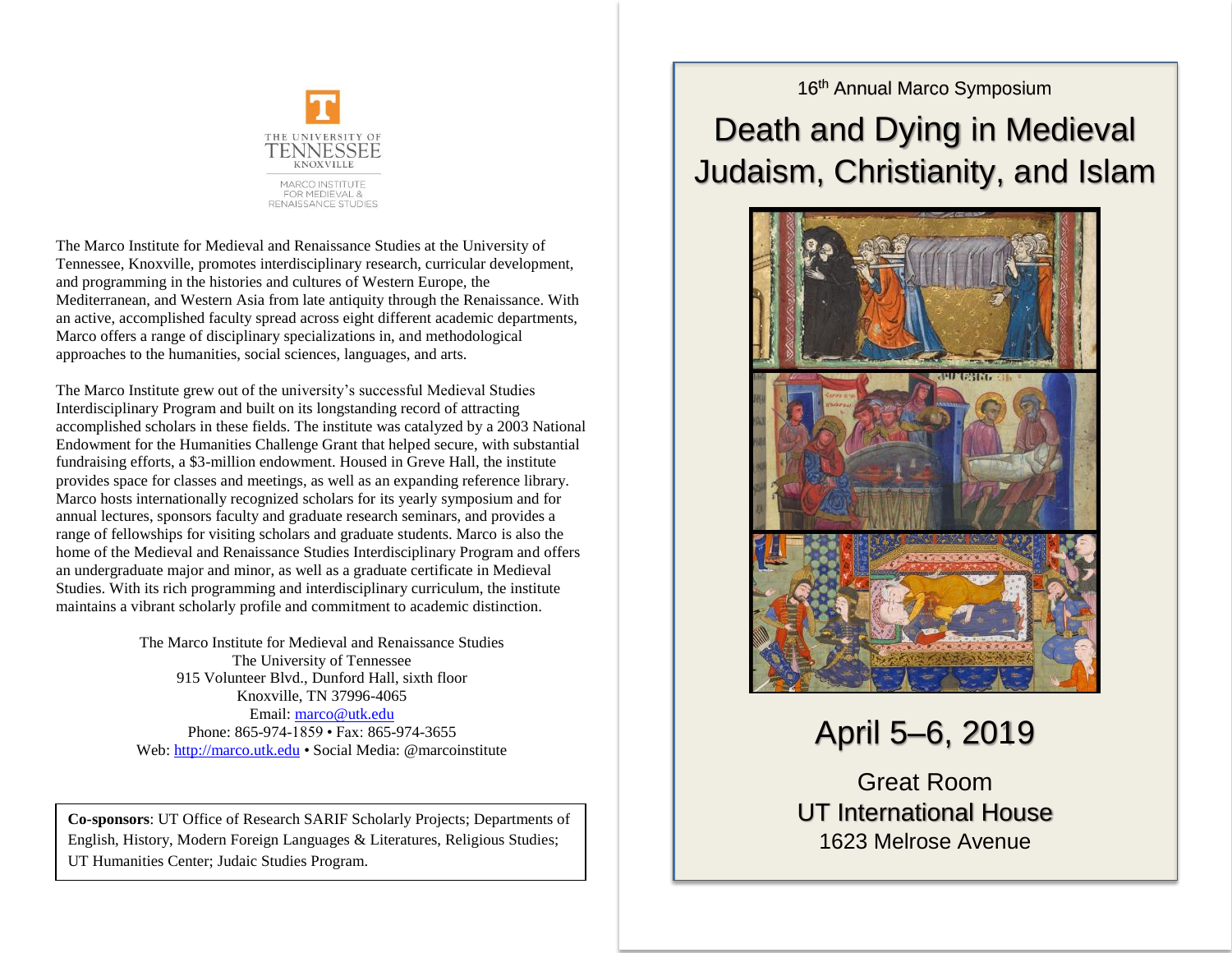

The Marco Institute for Medieval and Renaissance Studies at the University of Tennessee, Knoxville, promotes interdisciplinary research, curricular development, and programming in the histories and cultures of Western Europe, the Mediterranean, and Western Asia from late antiquity through the Renaissance. With an active, accomplished faculty spread across eight different academic departments, Marco offers a range of disciplinary specializations in, and methodological approaches to the humanities, social sciences, languages, and arts.

The Marco Institute grew out of the university's successful Medieval Studies Interdisciplinary Program and built on its longstanding record of attracting accomplished scholars in these fields. The institute was catalyzed by a 2003 National Endowment for the Humanities Challenge Grant that helped secure, with substantial fundraising efforts, a \$3-million endowment. Housed in Greve Hall, the institute provides space for classes and meetings, as well as an expanding reference library. Marco hosts internationally recognized scholars for its yearly symposium and for annual lectures, sponsors faculty and graduate research seminars, and provides a range of fellowships for visiting scholars and graduate students. Marco is also the home of the Medieval and Renaissance Studies Interdisciplinary Program and offers an undergraduate major and minor, as well as a graduate certificate in Medieval Studies. With its rich programming and interdisciplinary curriculum, the institute maintains a vibrant scholarly profile and commitment to academic distinction.

> The Marco Institute for Medieval and Renaissance Studies The University of Tennessee 915 Volunteer Blvd., Dunford Hall, sixth floor Knoxville, TN 37996-4065 Email: [marco@utk.edu](mailto:marco@utk.edu)  Phone: 865-974-1859 • Fax: 865-974-3655 Web: [http://marco.utk.edu](http://marco.utk.edu/) • Social Media: @marcoinstitute

**Co-sponsors**: UT Office of Research SARIF Scholarly Projects; Departments of English, History, Modern Foreign Languages & Literatures, Religious Studies; UT Humanities Center; Judaic Studies Program.

## 16<sup>th</sup> Annual Marco Symposium

## Death and Dying in Medieval Judaism, Christianity, and Islam



April 5–6, 2019

Great Room UT International House 1623 Melrose Avenue